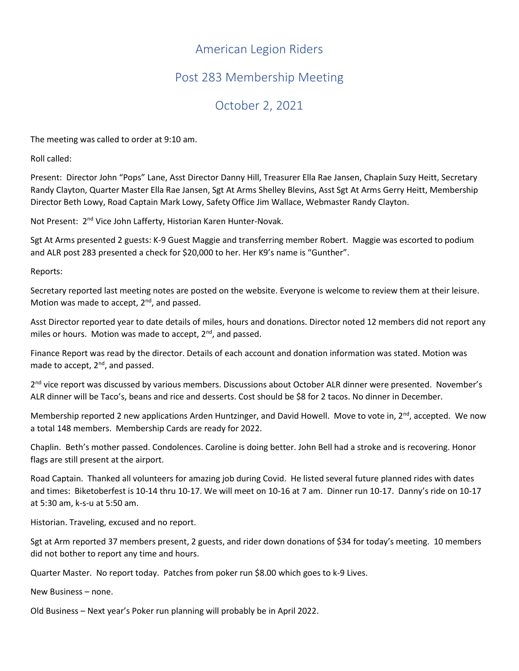## American Legion Riders

## Post 283 Membership Meeting

## October 2, 2021

The meeting was called to order at 9:10 am.

Roll called:

Present: Director John "Pops" Lane, Asst Director Danny Hill, Treasurer Ella Rae Jansen, Chaplain Suzy Heitt, Secretary Randy Clayton, Quarter Master Ella Rae Jansen, Sgt At Arms Shelley Blevins, Asst Sgt At Arms Gerry Heitt, Membership Director Beth Lowy, Road Captain Mark Lowy, Safety Office Jim Wallace, Webmaster Randy Clayton.

Not Present: 2<sup>nd</sup> Vice John Lafferty, Historian Karen Hunter-Novak.

Sgt At Arms presented 2 guests: K-9 Guest Maggie and transferring member Robert. Maggie was escorted to podium and ALR post 283 presented a check for \$20,000 to her. Her K9's name is "Gunther".

Reports:

Secretary reported last meeting notes are posted on the website. Everyone is welcome to review them at their leisure. Motion was made to accept, 2<sup>nd</sup>, and passed.

Asst Director reported year to date details of miles, hours and donations. Director noted 12 members did not report any miles or hours. Motion was made to accept,  $2^{nd}$ , and passed.

Finance Report was read by the director. Details of each account and donation information was stated. Motion was made to accept, 2<sup>nd</sup>, and passed.

2<sup>nd</sup> vice report was discussed by various members. Discussions about October ALR dinner were presented. November's ALR dinner will be Taco's, beans and rice and desserts. Cost should be \$8 for 2 tacos. No dinner in December.

Membership reported 2 new applications Arden Huntzinger, and David Howell. Move to vote in,  $2^{nd}$ , accepted. We now a total 148 members. Membership Cards are ready for 2022.

Chaplin. Beth's mother passed. Condolences. Caroline is doing better. John Bell had a stroke and is recovering. Honor flags are still present at the airport.

Road Captain. Thanked all volunteers for amazing job during Covid. He listed several future planned rides with dates and times: Biketoberfest is 10-14 thru 10-17. We will meet on 10-16 at 7 am. Dinner run 10-17. Danny's ride on 10-17 at 5:30 am, k-s-u at 5:50 am.

Historian. Traveling, excused and no report.

Sgt at Arm reported 37 members present, 2 guests, and rider down donations of \$34 for today's meeting. 10 members did not bother to report any time and hours.

Quarter Master. No report today. Patches from poker run \$8.00 which goes to k-9 Lives.

New Business – none.

Old Business – Next year's Poker run planning will probably be in April 2022.